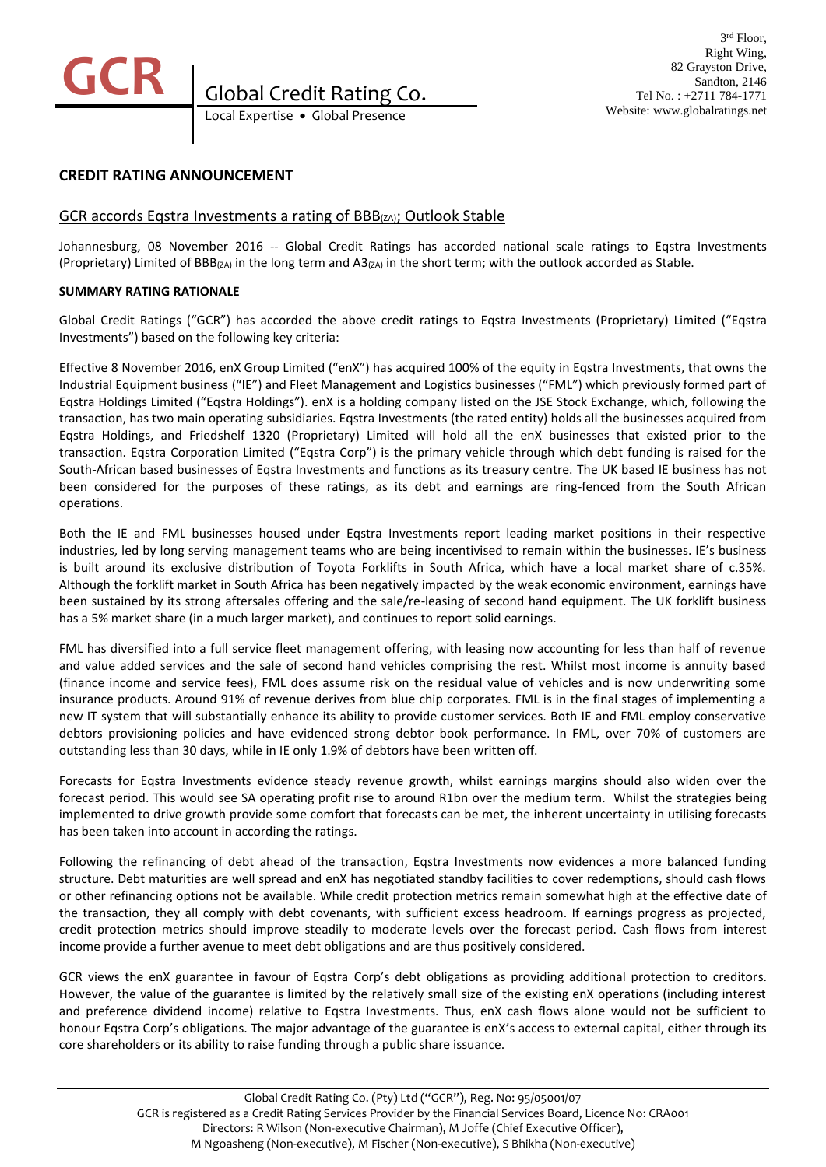

# **CREDIT RATING ANNOUNCEMENT**

# GCR accords Eqstra Investments a rating of BBB(ZA); Outlook Stable

Johannesburg, 08 November 2016 -- Global Credit Ratings has accorded national scale ratings to Eqstra Investments (Proprietary) Limited of BBB(ZA) in the long term and A3(ZA) in the short term; with the outlook accorded as Stable.

### **SUMMARY RATING RATIONALE**

Global Credit Ratings ("GCR") has accorded the above credit ratings to Eqstra Investments (Proprietary) Limited ("Eqstra Investments") based on the following key criteria:

Effective 8 November 2016, enX Group Limited ("enX") has acquired 100% of the equity in Eqstra Investments, that owns the Industrial Equipment business ("IE") and Fleet Management and Logistics businesses ("FML") which previously formed part of Eqstra Holdings Limited ("Eqstra Holdings"). enX is a holding company listed on the JSE Stock Exchange, which, following the transaction, has two main operating subsidiaries. Eqstra Investments (the rated entity) holds all the businesses acquired from Eqstra Holdings, and Friedshelf 1320 (Proprietary) Limited will hold all the enX businesses that existed prior to the transaction. Eqstra Corporation Limited ("Eqstra Corp") is the primary vehicle through which debt funding is raised for the South-African based businesses of Eqstra Investments and functions as its treasury centre. The UK based IE business has not been considered for the purposes of these ratings, as its debt and earnings are ring-fenced from the South African operations.

Both the IE and FML businesses housed under Eqstra Investments report leading market positions in their respective industries, led by long serving management teams who are being incentivised to remain within the businesses. IE's business is built around its exclusive distribution of Toyota Forklifts in South Africa, which have a local market share of c.35%. Although the forklift market in South Africa has been negatively impacted by the weak economic environment, earnings have been sustained by its strong aftersales offering and the sale/re-leasing of second hand equipment. The UK forklift business has a 5% market share (in a much larger market), and continues to report solid earnings.

FML has diversified into a full service fleet management offering, with leasing now accounting for less than half of revenue and value added services and the sale of second hand vehicles comprising the rest. Whilst most income is annuity based (finance income and service fees), FML does assume risk on the residual value of vehicles and is now underwriting some insurance products. Around 91% of revenue derives from blue chip corporates. FML is in the final stages of implementing a new IT system that will substantially enhance its ability to provide customer services. Both IE and FML employ conservative debtors provisioning policies and have evidenced strong debtor book performance. In FML, over 70% of customers are outstanding less than 30 days, while in IE only 1.9% of debtors have been written off.

Forecasts for Eqstra Investments evidence steady revenue growth, whilst earnings margins should also widen over the forecast period. This would see SA operating profit rise to around R1bn over the medium term. Whilst the strategies being implemented to drive growth provide some comfort that forecasts can be met, the inherent uncertainty in utilising forecasts has been taken into account in according the ratings.

Following the refinancing of debt ahead of the transaction, Eqstra Investments now evidences a more balanced funding structure. Debt maturities are well spread and enX has negotiated standby facilities to cover redemptions, should cash flows or other refinancing options not be available. While credit protection metrics remain somewhat high at the effective date of the transaction, they all comply with debt covenants, with sufficient excess headroom. If earnings progress as projected, credit protection metrics should improve steadily to moderate levels over the forecast period. Cash flows from interest income provide a further avenue to meet debt obligations and are thus positively considered.

GCR views the enX guarantee in favour of Eqstra Corp's debt obligations as providing additional protection to creditors. However, the value of the guarantee is limited by the relatively small size of the existing enX operations (including interest and preference dividend income) relative to Eqstra Investments. Thus, enX cash flows alone would not be sufficient to honour Eqstra Corp's obligations. The major advantage of the guarantee is enX's access to external capital, either through its core shareholders or its ability to raise funding through a public share issuance.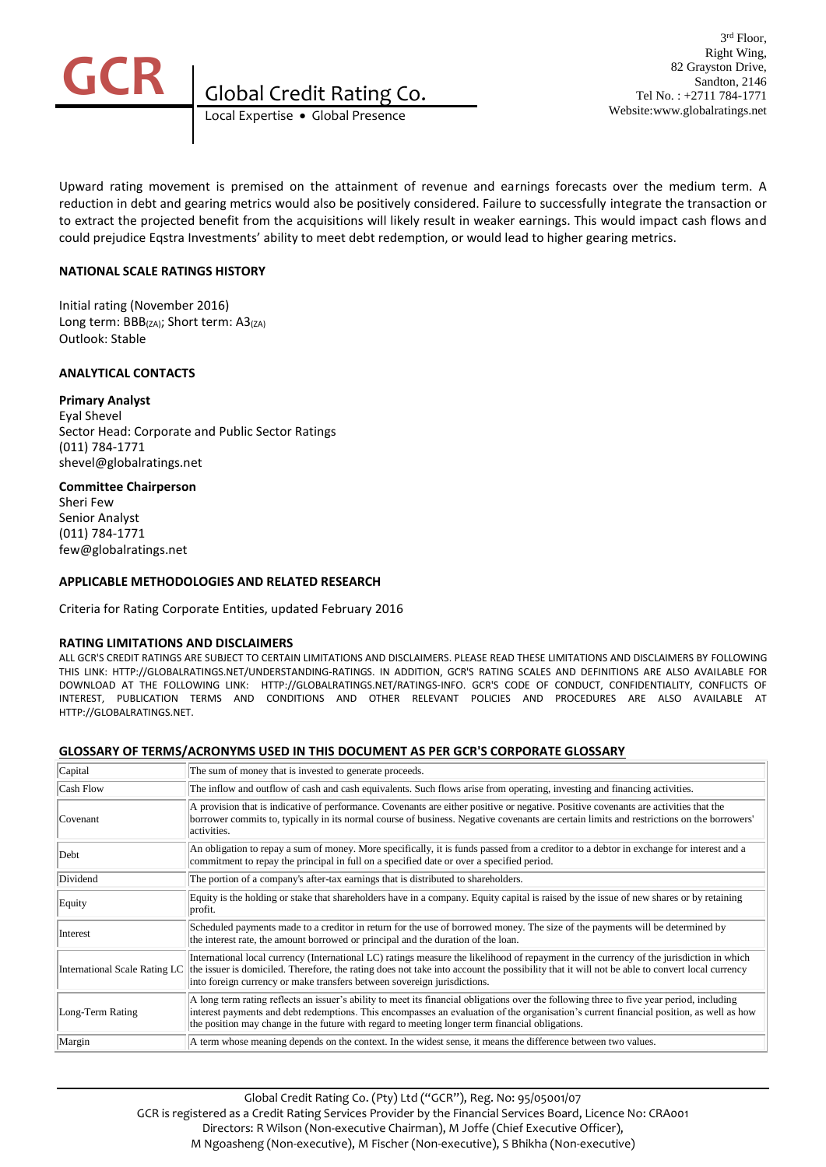

Local Expertise Global Presence **Global Credit Rating Co.** 

Upward rating movement is premised on the attainment of revenue and earnings forecasts over the medium term. A reduction in debt and gearing metrics would also be positively considered. Failure to successfully integrate the transaction or to extract the projected benefit from the acquisitions will likely result in weaker earnings. This would impact cash flows and could prejudice Eqstra Investments' ability to meet debt redemption, or would lead to higher gearing metrics.

## **NATIONAL SCALE RATINGS HISTORY**

Initial rating (November 2016) Long term: BBB(ZA); Short term: A3(ZA) Outlook: Stable

## **ANALYTICAL CONTACTS**

### **Primary Analyst**

Eyal Shevel Sector Head: Corporate and Public Sector Ratings (011) 784-1771 shevel@globalratings.net

### **Committee Chairperson**

Sheri Few Senior Analyst (011) 784-1771 few@globalratings.net

## **APPLICABLE METHODOLOGIES AND RELATED RESEARCH**

Criteria for Rating Corporate Entities, updated February 2016

#### **RATING LIMITATIONS AND DISCLAIMERS**

ALL GCR'S CREDIT RATINGS ARE SUBJECT TO CERTAIN LIMITATIONS AND DISCLAIMERS. PLEASE READ THESE LIMITATIONS AND DISCLAIMERS BY FOLLOWING THIS LINK: HTTP://GLOBALRATINGS.NET/UNDERSTANDING-RATINGS. IN ADDITION, GCR'S RATING SCALES AND DEFINITIONS ARE ALSO AVAILABLE FOR DOWNLOAD AT THE FOLLOWING LINK: HTTP://GLOBALRATINGS.NET/RATINGS-INFO. GCR'S CODE OF CONDUCT, CONFIDENTIALITY, CONFLICTS OF INTEREST, PUBLICATION TERMS AND CONDITIONS AND OTHER RELEVANT POLICIES AND PROCEDURES ARE ALSO AVAILABLE AT HTTP://GLOBALRATINGS.NET.

#### **GLOSSARY OF TERMS/ACRONYMS USED IN THIS DOCUMENT AS PER GCR'S CORPORATE GLOSSARY**

| Capital          | The sum of money that is invested to generate proceeds.                                                                                                                                                                                                                                                                                                                                            |
|------------------|----------------------------------------------------------------------------------------------------------------------------------------------------------------------------------------------------------------------------------------------------------------------------------------------------------------------------------------------------------------------------------------------------|
| Cash Flow        | The inflow and outflow of cash and cash equivalents. Such flows arise from operating, investing and financing activities.                                                                                                                                                                                                                                                                          |
| Covenant         | A provision that is indicative of performance. Covenants are either positive or negative. Positive covenants are activities that the<br>borrower commits to, typically in its normal course of business. Negative covenants are certain limits and restrictions on the borrowers'<br>activities.                                                                                                   |
| Debt             | An obligation to repay a sum of money. More specifically, it is funds passed from a creditor to a debtor in exchange for interest and a<br>commitment to repay the principal in full on a specified date or over a specified period.                                                                                                                                                               |
| Dividend         | The portion of a company's after-tax earnings that is distributed to shareholders.                                                                                                                                                                                                                                                                                                                 |
| Equity           | Equity is the holding or stake that shareholders have in a company. Equity capital is raised by the issue of new shares or by retaining<br>profit.                                                                                                                                                                                                                                                 |
| Interest         | Scheduled payments made to a creditor in return for the use of borrowed money. The size of the payments will be determined by<br>the interest rate, the amount borrowed or principal and the duration of the loan.                                                                                                                                                                                 |
|                  | International local currency (International LC) ratings measure the likelihood of repayment in the currency of the jurisdiction in which<br>International Scale Rating LC the issuer is domiciled. Therefore, the rating does not take into account the possibility that it will not be able to convert local currency<br>into foreign currency or make transfers between sovereign jurisdictions. |
| Long-Term Rating | A long term rating reflects an issuer's ability to meet its financial obligations over the following three to five year period, including<br>interest payments and debt redemptions. This encompasses an evaluation of the organisation's current financial position, as well as how<br>the position may change in the future with regard to meeting longer term financial obligations.            |
| Margin           | A term whose meaning depends on the context. In the widest sense, it means the difference between two values.                                                                                                                                                                                                                                                                                      |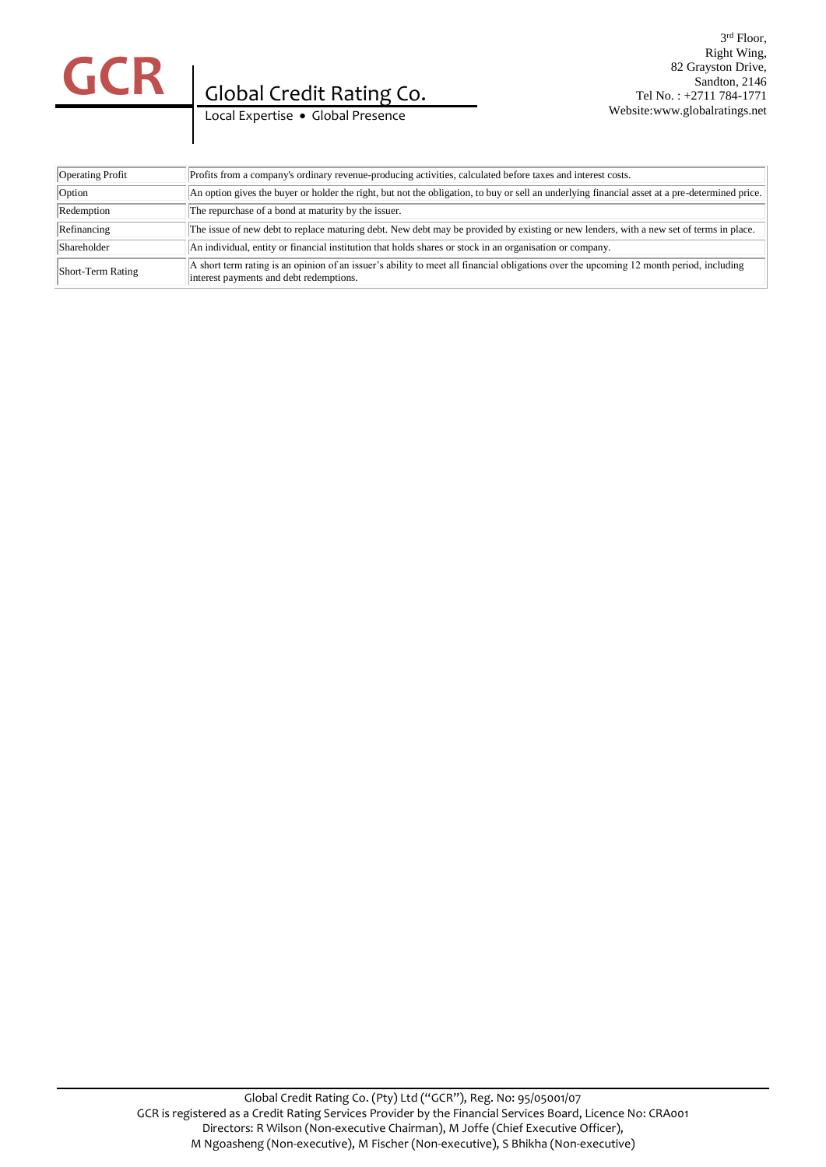

#### 3 rd Floor, Right Wing, 82 Grayston Drive, Sandton, 2146 Tel No. : +2711 784-1771 Website:www.globalratings.net

Local Expertise . Global Presence

| Operating Profit  | Profits from a company's ordinary revenue-producing activities, calculated before taxes and interest costs.                                                                        |
|-------------------|------------------------------------------------------------------------------------------------------------------------------------------------------------------------------------|
| Option            | An option gives the buyer or holder the right, but not the obligation, to buy or sell an underlying financial asset at a pre-determined price.                                     |
| Redemption        | The repurchase of a bond at maturity by the issuer.                                                                                                                                |
| Refinancing       | The issue of new debt to replace maturing debt. New debt may be provided by existing or new lenders, with a new set of terms in place.                                             |
| Shareholder       | An individual, entity or financial institution that holds shares or stock in an organisation or company.                                                                           |
| Short-Term Rating | A short term rating is an opinion of an issuer's ability to meet all financial obligations over the upcoming 12 month period, including<br>interest payments and debt redemptions. |